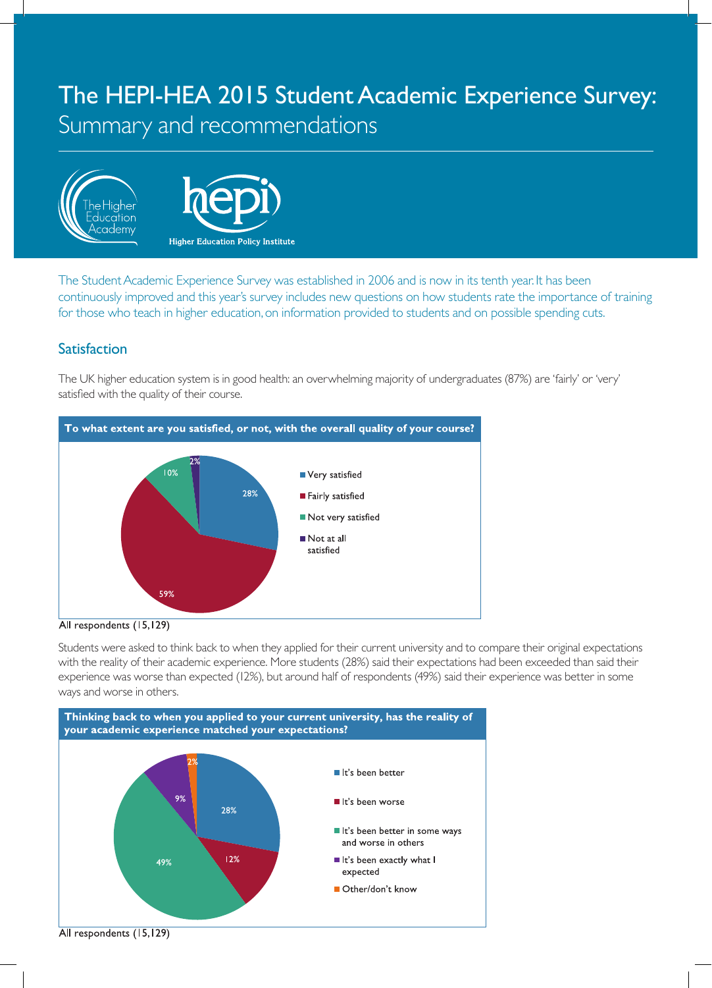# The HEPI-HEA 2015 Student Academic Experience Survey: Summary and recommendations





The Student Academic Experience Survey was established in 2006 and is now in its tenth year. It has been continuously improved and this year's survey includes new questions on how students rate the importance of training for those who teach in higher education, on information provided to students and on possible spending cuts.

# **Satisfaction**

The UK higher education system is in good health: an overwhelming majority of undergraduates (87%) are 'fairly' or 'very' satisfied with the quality of their course.





Students were asked to think back to when they applied for their current university and to compare their original expectations with the reality of their academic experience. More students (28%) said their expectations had been exceeded than said their experience was worse than expected (12%), but around half of respondents (49%) said their experience was better in some ways and worse in others.



All respondents (15,129)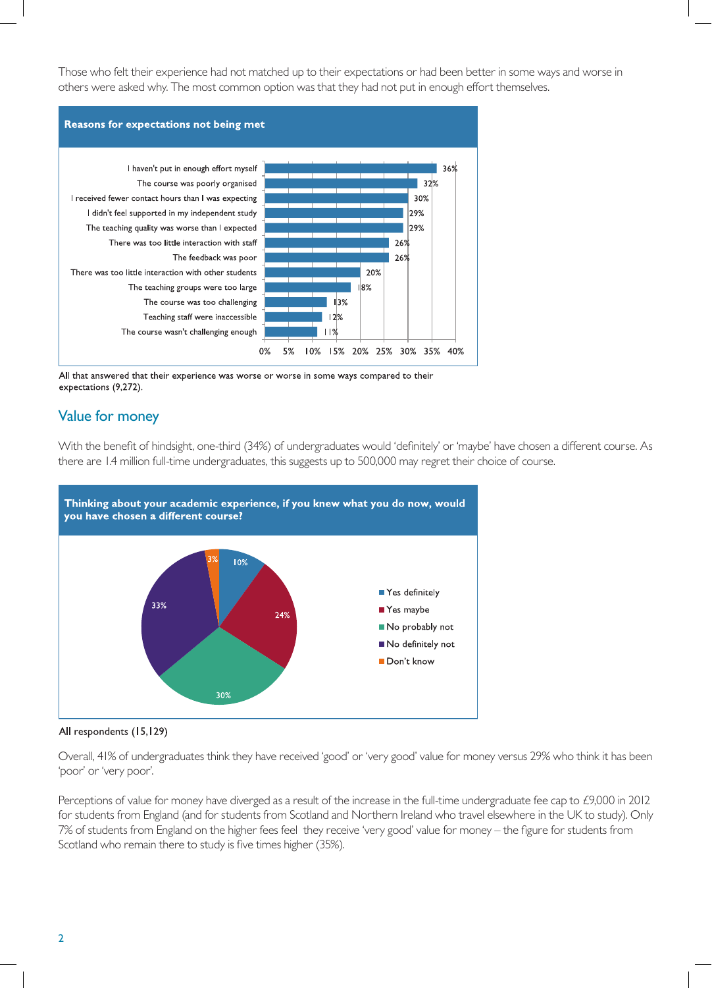Those who felt their experience had not matched up to their expectations or had been better in some ways and worse in others were asked why. The most common option was that they had not put in enough effort themselves.



All that answered that their experience was worse or worse in some ways compared to their expectations (9,272).

## Value for money

With the benefit of hindsight, one-third (34%) of undergraduates would 'definitely' or 'maybe' have chosen a different course. As there are 1.4 million full-time undergraduates, this suggests up to 500,000 may regret their choice of course.





Overall, 41% of undergraduates think they have received 'good' or 'very good' value for money versus 29% who think it has been 'poor' or 'very poor'.

Perceptions of value for money have diverged as a result of the increase in the full-time undergraduate fee cap to £9,000 in 2012 for students from England (and for students from Scotland and Northern Ireland who travel elsewhere in the UK to study). Only 7% of students from England on the higher fees feel they receive 'very good' value for money – the figure for students from Scotland who remain there to study is five times higher (35%).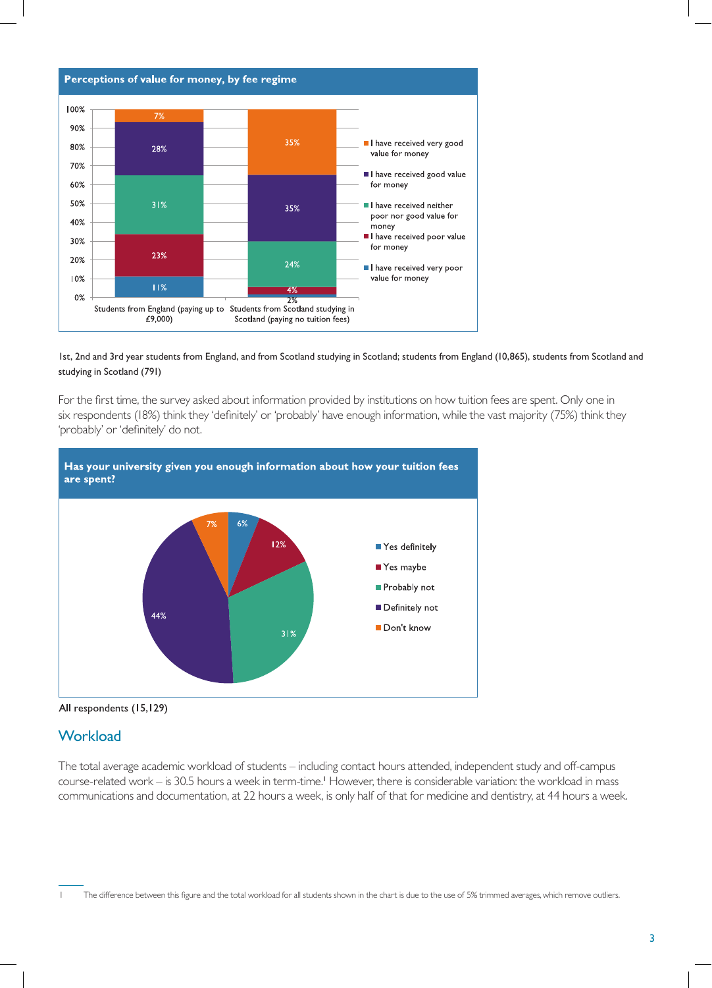

#### 1st, 2nd and 3rd year students from England, and from Scotland studying in Scotland; students from England (10,865), students from Scotland and studying in Scotland (791)

For the first time, the survey asked about information provided by institutions on how tuition fees are spent. Only one in six respondents (18%) think they 'definitely' or 'probably' have enough information, while the vast majority (75%) think they 'probably' or 'definitely' do not.





### **Workload**

The total average academic workload of students – including contact hours attended, independent study and off-campus course-related work – is 30.5 hours a week in term-time.<sup>1</sup> However, there is considerable variation: the workload in mass communications and documentation, at 22 hours a week, is only half of that for medicine and dentistry, at 44 hours a week.

The difference between this figure and the total workload for all students shown in the chart is due to the use of 5% trimmed averages, which remove outliers.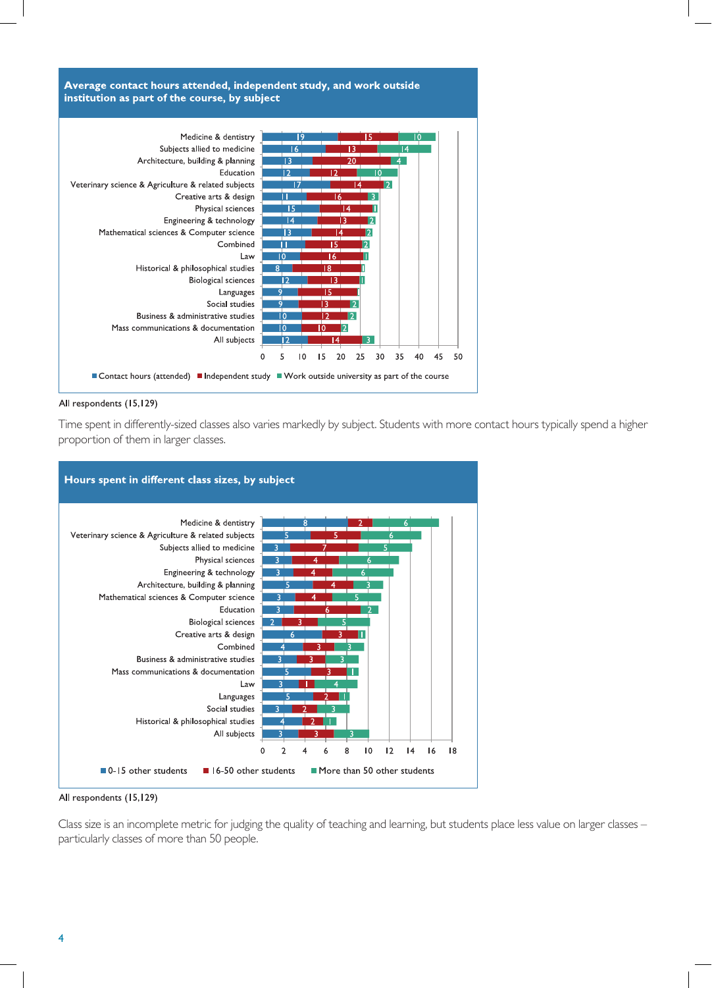



Time spent in differently-sized classes also varies markedly by subject. Students with more contact hours typically spend a higher proportion of them in larger classes.



All respondents (15,129)

Class size is an incomplete metric for judging the quality of teaching and learning, but students place less value on larger classes – particularly classes of more than 50 people.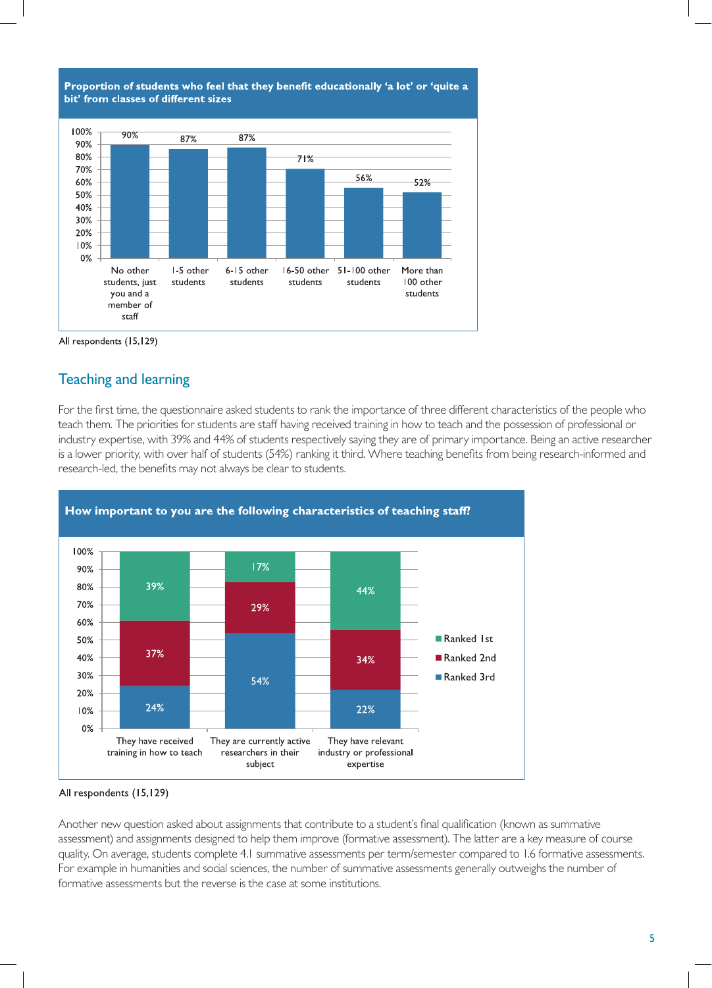



# Teaching and learning

For the first time, the questionnaire asked students to rank the importance of three different characteristics of the people who teach them. The priorities for students are staff having received training in how to teach and the possession of professional or industry expertise, with 39% and 44% of students respectively saying they are of primary importance. Being an active researcher is a lower priority, with over half of students (54%) ranking it third. Where teaching benefits from being research-informed and research-led, the benefits may not always be clear to students.



All respondents (15,129)

Another new question asked about assignments that contribute to a student's final qualification (known as summative assessment) and assignments designed to help them improve (formative assessment). The latter are a key measure of course quality. On average, students complete 4.1 summative assessments per term/semester compared to 1.6 formative assessments. For example in humanities and social sciences, the number of summative assessments generally outweighs the number of formative assessments but the reverse is the case at some institutions.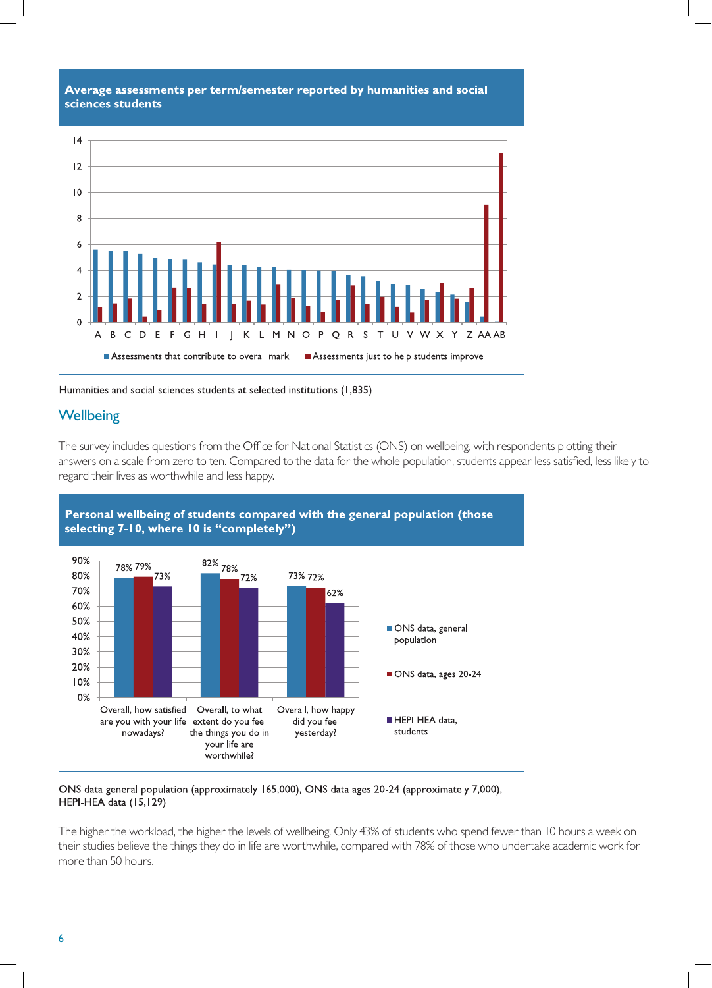

Humanities and social sciences students at selected institutions (1,835)

## **Wellbeing**

The survey includes questions from the Office for National Statistics (ONS) on wellbeing, with respondents plotting their answers on a scale from zero to ten. Compared to the data for the whole population, students appear less satisfied, less likely to regard their lives as worthwhile and less happy.





ONS data general population (approximately 165,000), ONS data ages 20-24 (approximately 7,000), HEPI-HEA data (15,129)

The higher the workload, the higher the levels of wellbeing. Only 43% of students who spend fewer than 10 hours a week on their studies believe the things they do in life are worthwhile, compared with 78% of those who undertake academic work for more than 50 hours.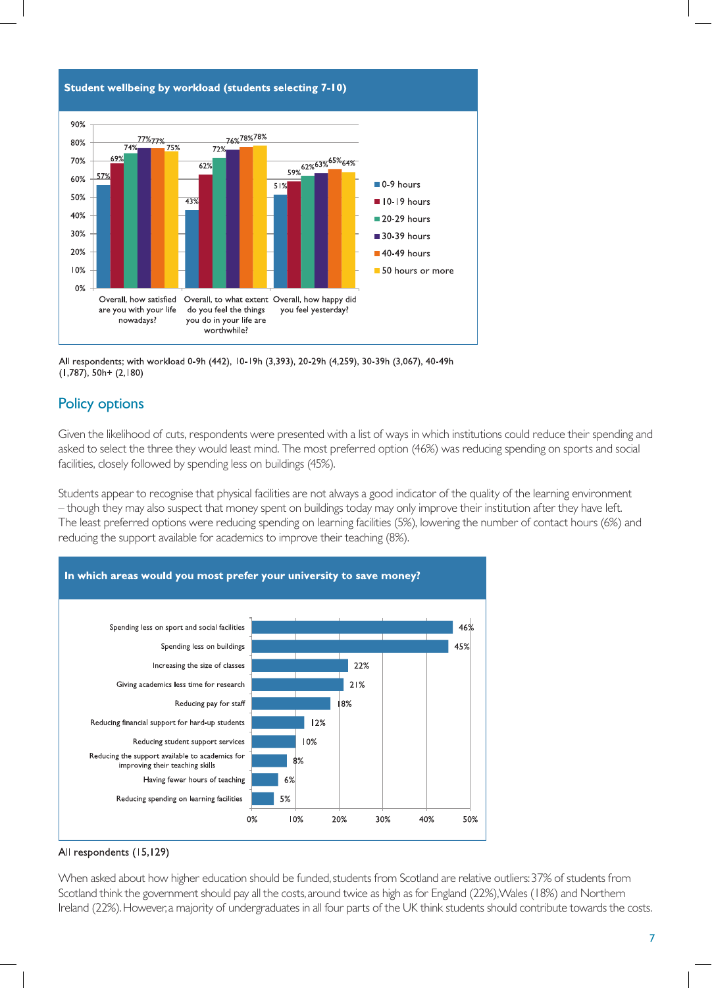

All respondents; with workload 0-9h (442), 10-19h (3,393), 20-29h (4,259), 30-39h (3,067), 40-49h  $(1,787)$ , 50h+  $(2,180)$ 

# Policy options

Given the likelihood of cuts, respondents were presented with a list of ways in which institutions could reduce their spending and asked to select the three they would least mind. The most preferred option (46%) was reducing spending on sports and social facilities, closely followed by spending less on buildings (45%).

Students appear to recognise that physical facilities are not always a good indicator of the quality of the learning environment – though they may also suspect that money spent on buildings today may only improve their institution after they have left. The least preferred options were reducing spending on learning facilities (5%), lowering the number of contact hours (6%) and reducing the support available for academics to improve their teaching (8%).



#### All respondents (15,129)

When asked about how higher education should be funded, students from Scotland are relative outliers: 37% of students from Scotland think the government should pay all the costs, around twice as high as for England (22%), Wales (18%) and Northern Ireland (22%). However, a majority of undergraduates in all four parts of the UK think students should contribute towards the costs.